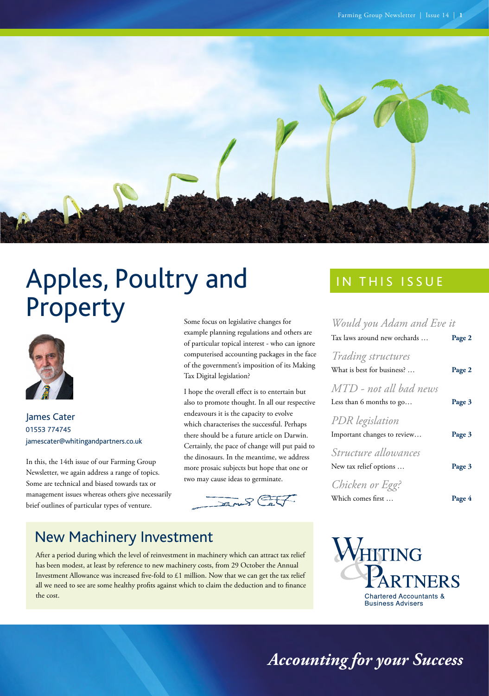

# Apples, Poultry and Property



### James Cater 01553 774745 [jamescater@whitingandpartners.co.uk](mailto:jamescater%40whitingandpartners.co.uk?subject=)

In this, the 14th issue of our Farming Group Newsletter, we again address a range of topics. Some are technical and biased towards tax or management issues whereas others give necessarily brief outlines of particular types of venture.

### Some focus on legislative changes for example planning regulations and others are of particular topical interest - who can ignore computerised accounting packages in the face of the government's imposition of its Making Tax Digital legislation?

I hope the overall effect is to entertain but also to promote thought. In all our respective endeavours it is the capacity to evolve which characterises the successful. Perhaps there should be a future article on Darwin. Certainly, the pace of change will put paid to the dinosaurs. In the meantime, we address more prosaic subjects but hope that one or two may cause ideas to germinate.



## New Machinery Investment

After a period during which the level of reinvestment in machinery which can attract tax relief has been modest, at least by reference to new machinery costs, from 29 October the Annual Investment Allowance was increased five-fold to £1 million. Now that we can get the tax relief all we need to see are some healthy profits against which to claim the deduction and to finance the cost.

## IN THIS ISSUE

### *[Would you Adam and Eve it](#page-1-0)*

| Tax laws around new orchards                          | Page 2 |
|-------------------------------------------------------|--------|
| Trading structures<br>What is best for business?      | Page 2 |
| MTD - not all bad news<br>Less than 6 months to go    | Page 3 |
| PDR legislation<br>Important changes to review        | Page 3 |
| <i>Structure allowances</i><br>New tax relief options | Page 3 |
| Chicken or Egg?<br>Which comes first                  | Page 4 |



*Accounting for your Success*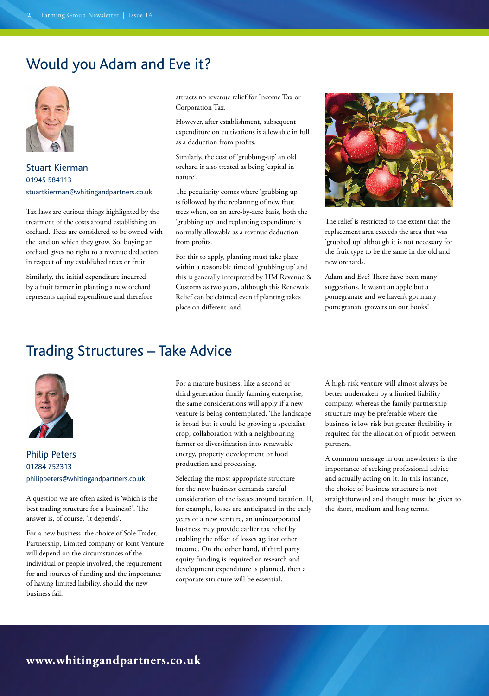## <span id="page-1-0"></span>Would you Adam and Eve it?



Stuart Kierman 01945 584113 [stuartkierman@whitingandpartners.co.uk](mailto:stuartkierman%40whitingandpartners.co.uk?subject=)

Tax laws are curious things highlighted by the treatment of the costs around establishing an orchard. Trees are considered to be owned with the land on which they grow. So, buying an orchard gives no right to a revenue deduction in respect of any established trees or fruit.

Similarly, the initial expenditure incurred by a fruit farmer in planting a new orchard represents capital expenditure and therefore attracts no revenue relief for Income Tax or Corporation Tax.

However, after establishment, subsequent expenditure on cultivations is allowable in full as a deduction from profits.

Similarly, the cost of 'grubbing-up' an old orchard is also treated as being 'capital in nature'.

The peculiarity comes where 'grubbing up' is followed by the replanting of new fruit trees when, on an acre-by-acre basis, both the 'grubbing up' and replanting expenditure is normally allowable as a revenue deduction from profits.

For this to apply, planting must take place within a reasonable time of 'grubbing up' and this is generally interpreted by HM Revenue & Customs as two years, although this Renewals Relief can be claimed even if planting takes place on different land.



The relief is restricted to the extent that the replacement area exceeds the area that was 'grubbed up' although it is not necessary for the fruit type to be the same in the old and new orchards.

Adam and Eve? There have been many suggestions. It wasn't an apple but a pomegranate and we haven't got many pomegranate growers on our books!

## Trading Structures – Take Advice



Philip Peters 01284 752313 [philippeters@whitingandpartners.co.uk](mailto:philippeters%40whitingandpartners.co.uk?subject=)

A question we are often asked is 'which is the best trading structure for a business?'. The answer is, of course, 'it depends'.

For a new business, the choice of Sole Trader, Partnership, Limited company or Joint Venture will depend on the circumstances of the individual or people involved, the requirement for and sources of funding and the importance of having limited liability, should the new business fail.

For a mature business, like a second or third generation family farming enterprise, the same considerations will apply if a new venture is being contemplated. The landscape is broad but it could be growing a specialist crop, collaboration with a neighbouring farmer or diversification into renewable energy, property development or food production and processing.

Selecting the most appropriate structure for the new business demands careful consideration of the issues around taxation. If, for example, losses are anticipated in the early years of a new venture, an unincorporated business may provide earlier tax relief by enabling the offset of losses against other income. On the other hand, if third party equity funding is required or research and development expenditure is planned, then a corporate structure will be essential.

A high-risk venture will almost always be better undertaken by a limited liability company, whereas the family partnership structure may be preferable where the business is low risk but greater flexibility is required for the allocation of profit between partners.

A common message in our newsletters is the importance of seeking professional advice and actually acting on it. In this instance, the choice of business structure is not straightforward and thought must be given to the short, medium and long terms.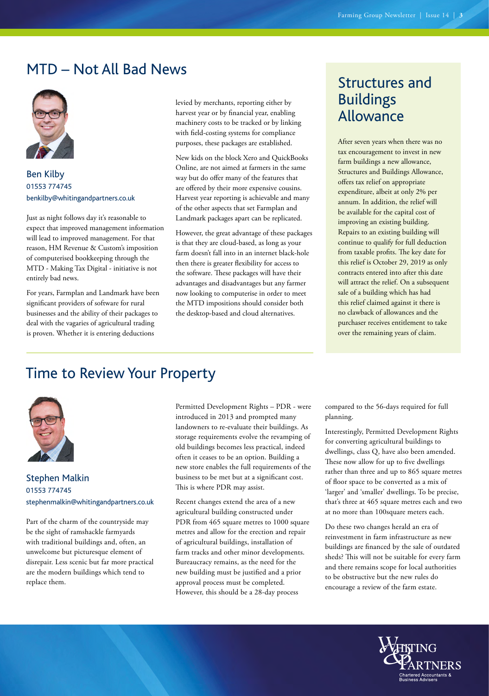## <span id="page-2-0"></span>MTD – Not All Bad News



Ben Kilby 01553 774745 [benkilby@whitingandpartners.co.uk](mailto:benkilby%40whitingandpartners.co.uk?subject=)

Just as night follows day it's reasonable to expect that improved management information will lead to improved management. For that reason, HM Revenue & Custom's imposition of computerised bookkeeping through the MTD - Making Tax Digital - initiative is not entirely bad news.

For years, Farmplan and Landmark have been significant providers of software for rural businesses and the ability of their packages to deal with the vagaries of agricultural trading is proven. Whether it is entering deductions

levied by merchants, reporting either by harvest year or by financial year, enabling machinery costs to be tracked or by linking with field-costing systems for compliance purposes, these packages are established.

New kids on the block Xero and QuickBooks Online, are not aimed at farmers in the same way but do offer many of the features that are offered by their more expensive cousins. Harvest year reporting is achievable and many of the other aspects that set Farmplan and Landmark packages apart can be replicated.

However, the great advantage of these packages is that they are cloud-based, as long as your farm doesn't fall into in an internet black-hole then there is greater flexibility for access to the software. These packages will have their advantages and disadvantages but any farmer now looking to computerise in order to meet the MTD impositions should consider both the desktop-based and cloud alternatives.

## Structures and Buildings Allowance

After seven years when there was no tax encouragement to invest in new farm buildings a new allowance, Structures and Buildings Allowance, offers tax relief on appropriate expenditure, albeit at only 2% per annum. In addition, the relief will be available for the capital cost of improving an existing building. Repairs to an existing building will continue to qualify for full deduction from taxable profits. The key date for this relief is October 29, 2019 as only contracts entered into after this date will attract the relief. On a subsequent sale of a building which has had this relief claimed against it there is no clawback of allowances and the purchaser receives entitlement to take over the remaining years of claim.

## Time to Review Your Property



Stephen Malkin 01553 774745 [stephenmalkin@whitingandpartners.co.uk](mailto:stephenmalkin%40whitingandpartners.co.uk?subject=)

Part of the charm of the countryside may be the sight of ramshackle farmyards with traditional buildings and, often, an unwelcome but picturesque element of disrepair. Less scenic but far more practical are the modern buildings which tend to replace them.

Permitted Development Rights – PDR - were introduced in 2013 and prompted many landowners to re-evaluate their buildings. As storage requirements evolve the revamping of old buildings becomes less practical, indeed often it ceases to be an option. Building a new store enables the full requirements of the business to be met but at a significant cost. This is where PDR may assist.

Recent changes extend the area of a new agricultural building constructed under PDR from 465 square metres to 1000 square metres and allow for the erection and repair of agricultural buildings, installation of farm tracks and other minor developments. Bureaucracy remains, as the need for the new building must be justified and a prior approval process must be completed. However, this should be a 28-day process

compared to the 56-days required for full planning.

Interestingly, Permitted Development Rights for converting agricultural buildings to dwellings, class Q, have also been amended. These now allow for up to five dwellings rather than three and up to 865 square metres of floor space to be converted as a mix of 'larger' and 'smaller' dwellings. To be precise, that's three at 465 square metres each and two at no more than 100square meters each.

Do these two changes herald an era of reinvestment in farm infrastructure as new buildings are financed by the sale of outdated sheds? This will not be suitable for every farm and there remains scope for local authorities to be obstructive but the new rules do encourage a review of the farm estate.